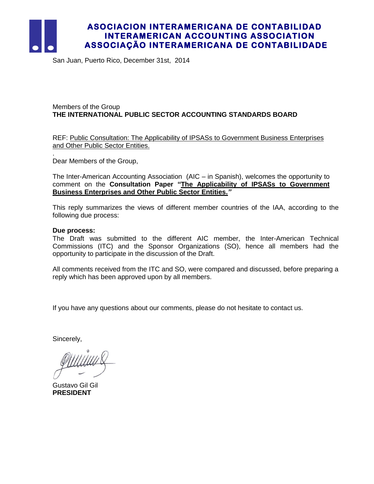

.

## **ASOCIACION INTERAMERICANA DE CONTABILIDAD INTERAMERICAN ACCOUNTING ASSOCIATION ASSOCIAÇÃO INTERAMERICANA DE CONTABILIDADE**

San Juan, Puerto Rico, December 31st, 2014

### Members of the Group **THE INTERNATIONAL PUBLIC SECTOR ACCOUNTING STANDARDS BOARD**

### REF: Public Consultation: The Applicability of IPSASs to Government Business Enterprises and Other Public Sector Entities.

Dear Members of the Group,

The Inter-American Accounting Association (AIC – in Spanish), welcomes the opportunity to comment on the **Consultation Paper "The Applicability of IPSASs to Government Business Enterprises and Other Public Sector Entities.***"*

This reply summarizes the views of different member countries of the IAA, according to the following due process:

#### **Due process:**

The Draft was submitted to the different AIC member, the Inter-American Technical Commissions (ITC) and the Sponsor Organizations (SO), hence all members had the opportunity to participate in the discussion of the Draft.

All comments received from the ITC and SO, were compared and discussed, before preparing a reply which has been approved upon by all members.

If you have any questions about our comments, please do not hesitate to contact us.

Sincerely,

Gustavo Gil Gil **PRESIDENT**